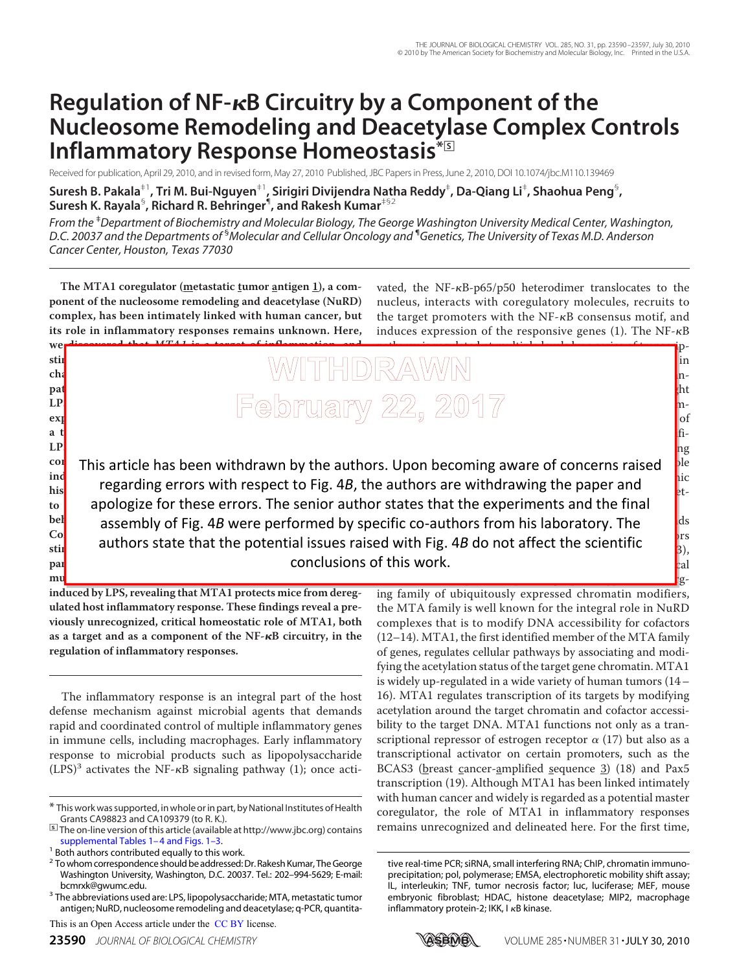# **Regulation of NF-B Circuitry by a Component of the Nucleosome Remodeling and Deacetylase Complex Controls Inflammatory Response Homeostasis\***□**<sup>S</sup>**

Received for publication, April 29, 2010, and in revised form, May 27, 2010 Published, JBC Papers in Press, June 2, 2010, DOI 10.1074/jbc.M110.139469

**Suresh B. Pakala**‡1**, Tri M. Bui-Nguyen**‡1**, Sirigiri Divijendra Natha Reddy**‡ **, Da-Qiang Li**‡ **, Shaohua Peng**§ **, Suresh K. Rayala**§ **, Richard R. Behringer**¶ **, and Rakesh Kumar**‡§2

*From the* ‡*Department of Biochemistry and Molecular Biology, The George Washington University Medical Center, Washington, D.C. 20037 and the Departments of* §*Molecular and Cellular Oncology and* ¶*Genetics, The University of Texas M.D. Anderson Cancer Center, Houston, Texas 77030*

The MTA1 coregulator (metastatic tumor antigen 1), a com**ponent of the nucleosome remodeling and deacetylase (NuRD) complex, has been intimately linked with human cancer, but its role in inflammatory responses remains unknown. Here,**

**we discovered that MTA1 is a target of inflammation, and stim charide (LPS) stimulates MTA1 transcription via the NF-B pathway. Unexpectedly, we found that MTA1 dependent in** LP<mark>I impairs in the stimulated macrophages in the signal signal stimulated materials and the signal state of the signal state  $\vert \Xi \cap \Omega \vert$ </mark> **expression of inflammatory molecules. MTA1 itself acts as** vated, the NF- $\kappa$ B-p65/p50 heterodimer translocates to the nucleus, interacts with coregulatory molecules, recruits to the target promoters with the  $NF-\kappa B$  consensus motif, and induces expression of the responsive genes (1). The  $NF-\kappa B$ 

pathway is regulated at multiple levels by a series of transcrip- $\Box$  and  $\Box$  and  $\Box$  and  $\Box$  and  $\Box$  in  $\mathbb{F}_{p}$  . Furthermore, the set of  $\mathbb{F}_{p}$ scriptional control of  $\Omega$  and  $\Omega$  generated  $\Omega$  and  $\Omega$  $\mathcal{C}(\mathcal{C})$  of  $\mathcal{C}(\mathcal{C})$  and control of  $\mathcal{C}(\mathcal{C})$  and complexes, leading to either the stimulation or the repression of

**a** t<mark>r</mark>anscriptional coactivatory coactivatory coactivatory coactivatory coactivatory coactivatory coactivatory coactivatory coactivatory coactivatory coactivatory coactivatory coactivatory coactivatory coactivatory coact **LP<mark>S</mark>** <sup>cor</sup> This article has been withdrawn by the authors. Upon becoming aware of concerns raised **ple ind cytokine expression. Let us stimulate the state** historie dealers with respect to rig. 4*D*, his to **ATAI, in the senatal in the sent and in** to a pologize for apportunents and the final bet assembly of Fig. 4*B* were performed by specific co-authors from his laboratory. The last use of Consequently and the net level in the net level in the second in Level in Level in the second in Level in the second in Level in the second in Level in the second in Level in the second in Level in the second in Level in t  $_{\text{stir}}$  authors state that the potential issues ra **par<mark>e</mark>d with wild-type microscopic microscopic microscopic microscopic microscopic microscopic microscopic microscopic microscopic microscopic microscopic microscopic microscopic microscopic microscopic microscopic micros /**- *mice were* conclusions of this work. gene transcription ( $\text{f}$ icance of the regulatory mechanisms regulatory mechanisms responsible for achieving  $\overline{\phantom{a}}$  contrary computed the Nurse or  $\overline{\phantom{a}}^{\text{loc}}$ regarding errors with respect to Fig. 4*B*, the authors are withdrawing the paper and  $\sim$ dynith  $\Gamma$ ie 40 de not offect the coinntific authors state that the potential issues raised with Fig. 4*B* do not affect the scientific  $\frac{1}{3}$ ,

**induced by LPS, revealing that MTA1 protects mice from deregulated host inflammatory response. These findings reveal a previously unrecognized, critical homeostatic role of MTA1, both as a target and as a component of the NF-B circuitry, in the regulation of inflammatory responses.**

**mu<mark>c</mark>h more susceptible than control microscopic shock shock shock shock shock shock shock shock** 

The inflammatory response is an integral part of the host defense mechanism against microbial agents that demands rapid and coordinated control of multiple inflammatory genes in immune cells, including macrophages. Early inflammatory response to microbial products such as lipopolysaccharide  $(LPS)^3$  activates the NF- $\kappa$ B signaling pathway (1); once acti-

This is an Open Access article under the CC BY license.

the MTA family is well known for the integral role in NuRD complexes that is to modify DNA accessibility for cofactors (12–14). MTA1, the first identified member of the MTA family of genes, regulates cellular pathways by associating and modifying the acetylation status of the target gene chromatin. MTA1 is widely up-regulated in a wide variety of human tumors (14– 16). MTA1 regulates transcription of its targets by modifying acetylation around the target chromatin and cofactor accessibility to the target DNA. MTA1 functions not only as a transcriptional repressor of estrogen receptor  $\alpha$  (17) but also as a transcriptional activator on certain promoters, such as the BCAS3 (breast cancer-amplified sequence 3) (18) and Pax5 transcription (19). Although MTA1 has been linked intimately with human cancer and widely is regarded as a potential master coregulator, the role of MTA1 in inflammatory responses remains unrecognized and delineated here. For the first time,

role in the development of pathologic phenotypes. An emerge phenotypes. An emergeing family of ubiquitously expressed chromatin modifiers,

tive real-time PCR; siRNA, small interfering RNA; ChIP, chromatin immunoprecipitation; pol, polymerase; EMSA, electrophoretic mobility shift assay; IL, interleukin; TNF, tumor necrosis factor; luc, luciferase; MEF, mouse embryonic fibroblast; HDAC, histone deacetylase; MIP2, macrophage inflammatory protein-2; IKK, I  $\kappa$ B kinase.



<sup>\*</sup> This work was supported, in whole or in part, by National Institutes of Health Grants CA98823 and CA109379 (to R. K.).

<sup>□</sup>**S** The on-line version of this article (available at http://www.jbc.org) contains supplemental Tables 1-4 and Figs. 1-3.

<sup>&</sup>lt;sup>1</sup> Both authors contributed equally to this work.

<sup>&</sup>lt;sup>2</sup> To whom correspondence should be addressed: Dr. Rakesh Kumar, The George Washington University, Washington, D.C. 20037. Tel.: 202–994-5629; E-mail: bcmrxk@gwumc.edu.

<sup>&</sup>lt;sup>3</sup> The abbreviations used are: LPS, lipopolysaccharide; MTA, metastatic tumor antigen; NuRD, nucleosome remodeling and deacetylase; q-PCR, quantita-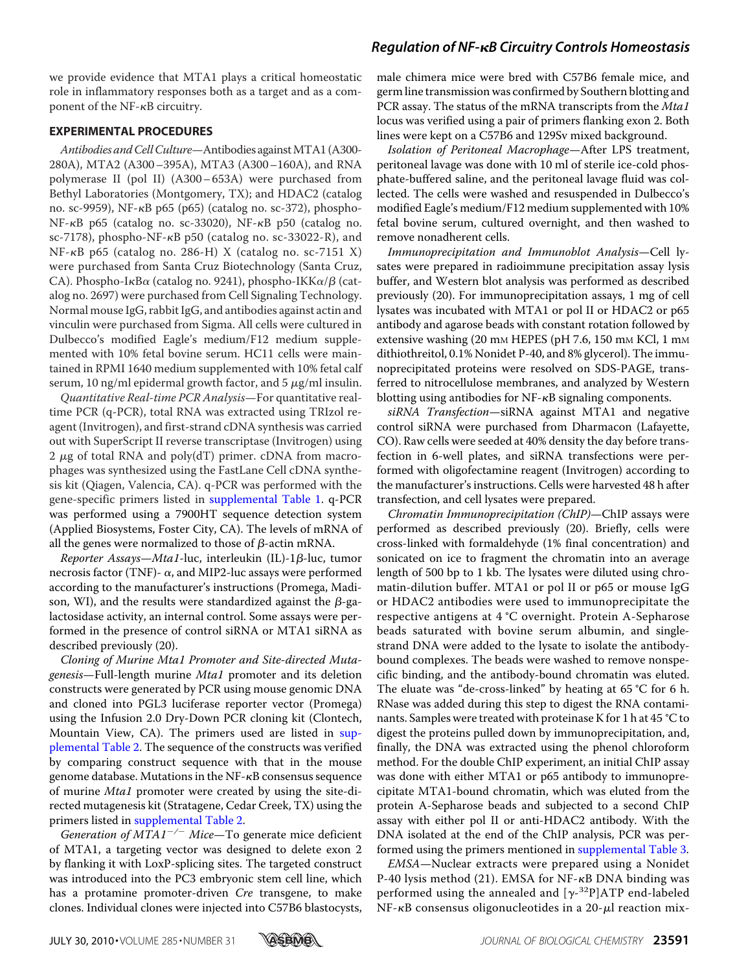# *Regulation of NF-B Circuitry Controls Homeostasis*

we provide evidence that MTA1 plays a critical homeostatic role in inflammatory responses both as a target and as a component of the  $NF-\kappa B$  circuitry.

#### **EXPERIMENTAL PROCEDURES**

Antibodies and Cell Culture-Antibodies against MTA1 (A300-280A), MTA2 (A300–395A), MTA3 (A300–160A), and RNA polymerase II (pol II) (A300– 653A) were purchased from Bethyl Laboratories (Montgomery, TX); and HDAC2 (catalog no. sc-9959), NF-κB p65 (p65) (catalog no. sc-372), phospho- $NF-\kappa B$  p65 (catalog no. sc-33020),  $NF-\kappa B$  p50 (catalog no. sc-7178), phospho-NF- $\kappa$ B p50 (catalog no. sc-33022-R), and  $NF-\kappa B$  p65 (catalog no. 286-H) X (catalog no. sc-7151 X) were purchased from Santa Cruz Biotechnology (Santa Cruz, CA). Phospho-I $\kappa$ B $\alpha$  (catalog no. 9241), phospho-IKK $\alpha/\beta$  (catalog no. 2697) were purchased from Cell Signaling Technology. Normal mouse IgG, rabbit IgG, and antibodies against actin and vinculin were purchased from Sigma. All cells were cultured in Dulbecco's modified Eagle's medium/F12 medium supplemented with 10% fetal bovine serum. HC11 cells were maintained in RPMI 1640 medium supplemented with 10% fetal calf serum, 10 ng/ml epidermal growth factor, and 5  $\mu$ g/ml insulin.

Quantitative Real-time PCR Analysis—For quantitative realtime PCR (q-PCR), total RNA was extracted using TRIzol reagent (Invitrogen), and first-strand cDNA synthesis was carried out with SuperScript II reverse transcriptase (Invitrogen) using 2  $\mu$ g of total RNA and poly(dT) primer. cDNA from macrophages was synthesized using the FastLane Cell cDNA synthesis kit (Qiagen, Valencia, CA). q-PCR was performed with the gene-specific primers listed in supplemental Table 1. q-PCR was performed using a 7900HT sequence detection system (Applied Biosystems, Foster City, CA). The levels of mRNA of all the genes were normalized to those of  $\beta$ -actin mRNA.

Reporter Assays-Mta1-luc, interleukin (IL)-1 $\beta$ -luc, tumor necrosis factor (TNF)-  $\alpha$ , and MIP2-luc assays were performed according to the manufacturer's instructions (Promega, Madison, WI), and the results were standardized against the  $\beta$ -galactosidase activity, an internal control. Some assays were performed in the presence of control siRNA or MTA1 siRNA as described previously (20).

Cloning of Murine Mta1 Promoter and Site-directed Mutagenesis—Full-length murine Mta1 promoter and its deletion constructs were generated by PCR using mouse genomic DNA and cloned into PGL3 luciferase reporter vector (Promega) using the Infusion 2.0 Dry-Down PCR cloning kit (Clontech, Mountain View, CA). The primers used are listed in supplemental Table 2. The sequence of the constructs was verified by comparing construct sequence with that in the mouse genome database. Mutations in the NF-KB consensus sequence of murine Mta1 promoter were created by using the site-directed mutagenesis kit (Stratagene, Cedar Creek, TX) using the primers listed in supplemental Table 2.

Generation of  $\hat{MIAI}^{-/-}$  Mice—To generate mice deficient of MTA1, a targeting vector was designed to delete exon 2 by flanking it with LoxP-splicing sites. The targeted construct was introduced into the PC3 embryonic stem cell line, which has a protamine promoter-driven Cre transgene, to make clones. Individual clones were injected into C57B6 blastocysts,

male chimera mice were bred with C57B6 female mice, and germ line transmission was confirmed by Southern blotting and PCR assay. The status of the mRNA transcripts from the Mta1 locus was verified using a pair of primers flanking exon 2. Both lines were kept on a C57B6 and 129Sv mixed background.

Isolation of Peritoneal Macrophage—After LPS treatment, peritoneal lavage was done with 10 ml of sterile ice-cold phosphate-buffered saline, and the peritoneal lavage fluid was collected. The cells were washed and resuspended in Dulbecco's modified Eagle's medium/F12 medium supplemented with 10% fetal bovine serum, cultured overnight, and then washed to remove nonadherent cells.

Immunoprecipitation and Immunoblot Analysis—Cell lysates were prepared in radioimmune precipitation assay lysis buffer, and Western blot analysis was performed as described previously (20). For immunoprecipitation assays, 1 mg of cell lysates was incubated with MTA1 or pol II or HDAC2 or p65 antibody and agarose beads with constant rotation followed by extensive washing (20 mm HEPES (pH 7.6, 150 mm KCl, 1 mm dithiothreitol, 0.1% Nonidet P-40, and 8% glycerol). The immunoprecipitated proteins were resolved on SDS-PAGE, transferred to nitrocellulose membranes, and analyzed by Western blotting using antibodies for  $NF$ - $\kappa$ B signaling components.

siRNA Transfection—siRNA against MTA1 and negative control siRNA were purchased from Dharmacon (Lafayette, CO). Raw cells were seeded at 40% density the day before transfection in 6-well plates, and siRNA transfections were performed with oligofectamine reagent (Invitrogen) according to the manufacturer's instructions. Cells were harvested 48 h after transfection, and cell lysates were prepared.

Chromatin Immunoprecipitation (ChIP)—ChIP assays were performed as described previously (20). Briefly, cells were cross-linked with formaldehyde (1% final concentration) and sonicated on ice to fragment the chromatin into an average length of 500 bp to 1 kb. The lysates were diluted using chromatin-dilution buffer. MTA1 or pol II or p65 or mouse IgG or HDAC2 antibodies were used to immunoprecipitate the respective antigens at 4 °C overnight. Protein A-Sepharose beads saturated with bovine serum albumin, and singlestrand DNA were added to the lysate to isolate the antibodybound complexes. The beads were washed to remove nonspecific binding, and the antibody-bound chromatin was eluted. The eluate was "de-cross-linked" by heating at 65 °C for 6 h. RNase was added during this step to digest the RNA contaminants. Samples were treated with proteinase K for 1 h at 45 °C to digest the proteins pulled down by immunoprecipitation, and, finally, the DNA was extracted using the phenol chloroform method. For the double ChIP experiment, an initial ChIP assay was done with either MTA1 or p65 antibody to immunoprecipitate MTA1-bound chromatin, which was eluted from the protein A-Sepharose beads and subjected to a second ChIP assay with either pol II or anti-HDAC2 antibody. With the DNA isolated at the end of the ChIP analysis, PCR was performed using the primers mentioned in supplemental Table 3.

EMSA—Nuclear extracts were prepared using a Nonidet P-40 lysis method  $(21)$ . EMSA for NF- $\kappa$ B DNA binding was performed using the annealed and  $[\gamma$ -<sup>32</sup>P]ATP end-labeled  $NF-\kappa B$  consensus oligonucleotides in a 20- $\mu$ l reaction mix-

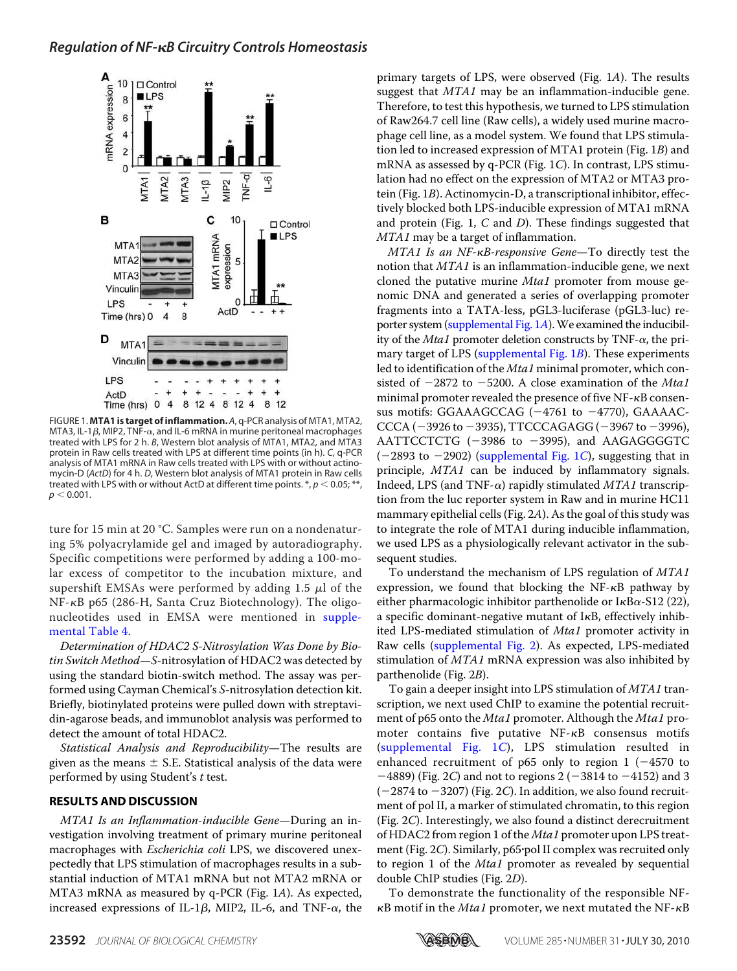

FIGURE 1. **MTA1 is target of inflammation.** *A*, q-PCR analysis of MTA1, MTA2, MTA3, IL-1 $\beta$ , MIP2, TNF- $\alpha$ , and IL-6 mRNA in murine peritoneal macrophages treated with LPS for 2 h. *B*, Western blot analysis of MTA1, MTA2, and MTA3 protein in Raw cells treated with LPS at different time points (in h). *C*, q-PCR analysis of MTA1 mRNA in Raw cells treated with LPS with or without actinomycin-D (*ActD*) for 4 h. *D*, Western blot analysis of MTA1 protein in Raw cells treated with LPS with or without ActD at different time points.  $*, p < 0.05; **$ ,  $p < 0.001$ .

ture for 15 min at 20 °C. Samples were run on a nondenaturing 5% polyacrylamide gel and imaged by autoradiography. Specific competitions were performed by adding a 100-molar excess of competitor to the incubation mixture, and supershift EMSAs were performed by adding 1.5  $\mu$ l of the NF-KB p65 (286-H, Santa Cruz Biotechnology). The oligonucleotides used in EMSA were mentioned in supplemental Table 4.

Determination of HDAC2 S-Nitrosylation Was Done by Biotin Switch Method-S-nitrosylation of HDAC2 was detected by using the standard biotin-switch method. The assay was performed using Cayman Chemical's S-nitrosylation detection kit. Briefly, biotinylated proteins were pulled down with streptavidin-agarose beads, and immunoblot analysis was performed to detect the amount of total HDAC2.

Statistical Analysis and Reproducibility—The results are given as the means  $\pm$  S.E. Statistical analysis of the data were performed by using Student's t test.

## **RESULTS AND DISCUSSION**

MTA1 Is an Inflammation-inducible Gene—During an investigation involving treatment of primary murine peritoneal macrophages with *Escherichia coli* LPS, we discovered unexpectedly that LPS stimulation of macrophages results in a substantial induction of MTA1 mRNA but not MTA2 mRNA or MTA3 mRNA as measured by q-PCR (Fig. 1A). As expected, increased expressions of IL-1 $\beta$ , MIP2, IL-6, and TNF- $\alpha$ , the

primary targets of LPS, were observed (Fig. 1A). The results suggest that MTA1 may be an inflammation-inducible gene. Therefore, to test this hypothesis, we turned to LPS stimulation of Raw264.7 cell line (Raw cells), a widely used murine macrophage cell line, as a model system. We found that LPS stimulation led to increased expression of MTA1 protein (Fig. 1B) and mRNA as assessed by q-PCR (Fig. 1C). In contrast, LPS stimulation had no effect on the expression of MTA2 or MTA3 protein (Fig. 1B). Actinomycin-D, a transcriptional inhibitor, effectively blocked both LPS-inducible expression of MTA1 mRNA and protein (Fig. 1,  $C$  and  $D$ ). These findings suggested that MTA1 may be a target of inflammation.

 $MTA1$  Is an NF- $\kappa$ B-responsive Gene-To directly test the notion that MTA1 is an inflammation-inducible gene, we next cloned the putative murine Mta1 promoter from mouse genomic DNA and generated a series of overlapping promoter fragments into a TATA-less, pGL3-luciferase (pGL3-luc) reporter system (supplemental Fig. 1A).We examined the inducibility of the *Mta1* promoter deletion constructs by TNF- $\alpha$ , the primary target of LPS (supplemental Fig. 1B). These experiments led to identification of the *Mta1* minimal promoter, which consisted of  $-2872$  to  $-5200$ . A close examination of the Mta1 minimal promoter revealed the presence of five NF- $\kappa$ B consensus motifs: GGAAAGCCAG  $(-4761$  to  $-4770$ ), GAAAAC- $CCCA (-3926 to -3935), TTCCCAGAGG (-3967 to -3996),$ AATTCCTCTG  $(-3986 \text{ to } -3995)$ , and AAGAGGGGTC  $(-2893$  to  $-2902)$  (supplemental Fig. 1C), suggesting that in principle, MTA1 can be induced by inflammatory signals. Indeed, LPS (and TNF- $\alpha$ ) rapidly stimulated MTA1 transcription from the luc reporter system in Raw and in murine HC11 mammary epithelial cells (Fig. 2A). As the goal of this study was to integrate the role of MTA1 during inducible inflammation, we used LPS as a physiologically relevant activator in the subsequent studies.

To understand the mechanism of LPS regulation of MTA1 expression, we found that blocking the  $NF-\kappa B$  pathway by either pharmacologic inhibitor parthenolide or I $\kappa$ B $\alpha$ -S12 (22), a specific dominant-negative mutant of  $I\kappa B$ , effectively inhibited LPS-mediated stimulation of Mta1 promoter activity in Raw cells (supplemental Fig. 2). As expected, LPS-mediated stimulation of MTA1 mRNA expression was also inhibited by parthenolide (Fig. 2B).

To gain a deeper insight into LPS stimulation of MTA1 transcription, we next used ChIP to examine the potential recruitment of p65 onto the *Mta1* promoter. Although the *Mta1* promoter contains five putative  $NF-\kappa B$  consensus motifs (supplemental Fig. 1C), LPS stimulation resulted in enhanced recruitment of p65 only to region  $1$  (-4570 to  $-4889$ ) (Fig. 2C) and not to regions 2 ( $-3814$  to  $-4152$ ) and 3  $(-2874$  to  $-3207)$  (Fig. 2C). In addition, we also found recruitment of pol II, a marker of stimulated chromatin, to this region (Fig. 2C). Interestingly, we also found a distinct derecruitment of HDAC2 from region 1 of the Mta1 promoter upon LPS treatment (Fig. 2C). Similarly, p65-pol II complex was recruited only to region 1 of the Mta1 promoter as revealed by sequential double ChIP studies (Fig. 2D).

To demonstrate the functionality of the responsible NF-  $\kappa$ B motif in the Mta1 promoter, we next mutated the NF- $\kappa$ B

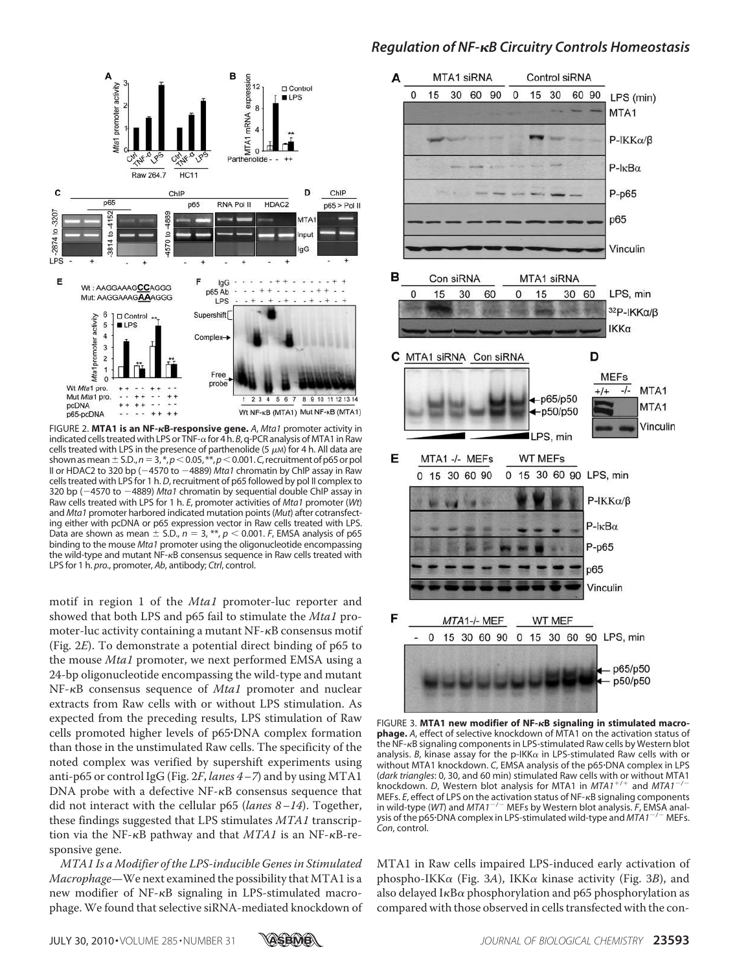

FIGURE 2. MTA1 is an NF- $\kappa$ B-responsive gene. A, Mta1 promoter activity in indicated cells treated with LPS or TNF- $\alpha$  for 4 h. *B*, q-PCR analysis of MTA1 in Raw cells treated with LPS in the presence of parthenolide (5  $\mu$ M) for 4 h. All data are shown as mean  $\pm$  S.D.,  $n=$  3,  $^{*}$ ,  $p$   $<$  0.05,  $^{**}$ ,  $p$   $<$  0.001.  $C$ , recruitment of p65 or pol II or HDAC2 to 320 bp (-4570 to -4889) Mta1 chromatin by ChIP assay in Raw cells treated with LPS for 1 h. *D*, recruitment of p65 followed by pol II complex to 320 bp (4570 to 4889) *Mta1* chromatin by sequential double ChIP assay in Raw cells treated with LPS for 1 h. *E*, promoter activities of *Mta1* promoter (*Wt*) and *Mta1* promoter harbored indicated mutation points (*Mut*) after cotransfecting either with pcDNA or p65 expression vector in Raw cells treated with LPS. Data are shown as mean  $\pm$  S.D.,  $n = 3$ , \*\*,  $p < 0.001$ . *F*, EMSA analysis of p65 binding to the mouse *Mta1* promoter using the oligonucleotide encompassing the wild-type and mutant NF-<sub>KB</sub> consensus sequence in Raw cells treated with LPS for 1 h. *pro.*, promoter, *Ab*, antibody; *Ctrl*, control.

motif in region 1 of the *Mta1* promoter-luc reporter and showed that both LPS and p65 fail to stimulate the Mta1 promoter-luc activity containing a mutant  $NF$ - $\kappa$ B consensus motif (Fig. 2E). To demonstrate a potential direct binding of p65 to the mouse *Mta1* promoter, we next performed EMSA using a 24-bp oligonucleotide encompassing the wild-type and mutant  $NF$ - $\kappa$ B consensus sequence of *Mta1* promoter and nuclear extracts from Raw cells with or without LPS stimulation. As expected from the preceding results, LPS stimulation of Raw cells promoted higher levels of p65-DNA complex formation than those in the unstimulated Raw cells. The specificity of the noted complex was verified by supershift experiments using anti-p65 or control IgG (Fig.  $2F$ , lanes  $4-7$ ) and by using MTA1  $DNA$  probe with a defective  $NF$ - $\kappa$ B consensus sequence that did not interact with the cellular  $p65$  (lanes  $8-14$ ). Together, these findings suggested that LPS stimulates MTA1 transcription via the NF- $\kappa$ B pathway and that *MTA1* is an NF- $\kappa$ B-responsive gene.

MTA1 Is a Modifier of the LPS-inducible Genes in Stimulated Macrophage—We next examined the possibility that MTA1 is a new modifier of  $NF-\kappa B$  signaling in LPS-stimulated macrophage. We found that selective siRNA-mediated knockdown of

# *Regulation of NF-B Circuitry Controls Homeostasis*



FIGURE 3. **MTA1 new modifier of NF-B signaling in stimulated macrophage.** *A*, effect of selective knockdown of MTA1 on the activation status of the NF-<sub>K</sub>B signaling components in LPS-stimulated Raw cells by Western blot analysis. B, kinase assay for the p-IKK $\alpha$  in LPS-stimulated Raw cells with or without MTA1 knockdown. *C*, EMSA analysis of the p65-DNA complex in LPS (*dark triangles*: 0, 30, and 60 min) stimulated Raw cells with or without MTA1 knockdown. *D*, Western blot analysis for MTA1 in *MTA1<sup>+/+</sup>* and *MTA1<sup>-/-</sup>* MEFs. *E*, effect of LPS on the activation status of NF-<sub>K</sub>B signaling components in wild-type (*WT*) and *MTA1<sup>-/-</sup>* MEFs by Western blot analysis. *F*, EMSA analysis of the p65-DNA complex in LPS-stimulated wild-type and *MTA1*/ MEFs. *Con*, control.

MTA1 in Raw cells impaired LPS-induced early activation of phospho-IKK $\alpha$  (Fig. 3A), IKK $\alpha$  kinase activity (Fig. 3B), and also delayed I $\kappa$ B $\alpha$  phosphorylation and p65 phosphorylation as compared with those observed in cells transfected with the con-

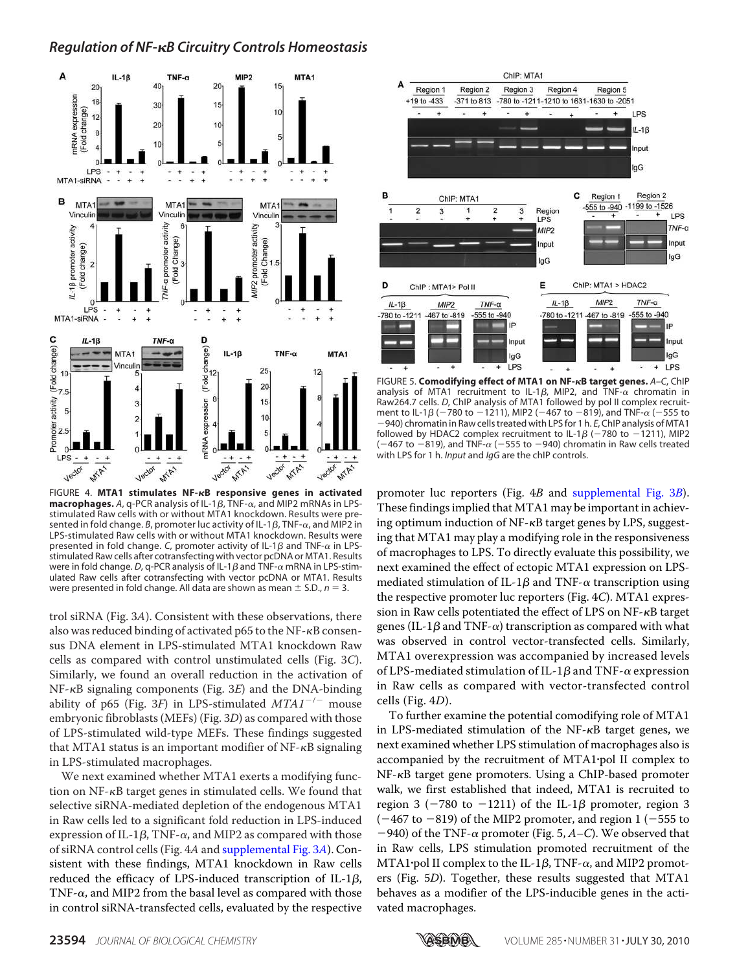# *Regulation of NF-B Circuitry Controls Homeostasis*



FIGURE 4. **MTA1 stimulates NF-B responsive genes in activated A, q-PCR analysis of IL-1** $\beta$ **, TNF-** $\alpha$ **, and MIP2 mRNAs in LPS**stimulated Raw cells with or without MTA1 knockdown. Results were presented in fold change. B, promoter luc activity of IL-1 $\beta$ , TNF- $\alpha$ , and MIP2 in LPS-stimulated Raw cells with or without MTA1 knockdown. Results were presented in fold change. C, promoter activity of IL-1 $\beta$  and TNF- $\alpha$  in LPSstimulated Raw cells after cotransfecting with vector pcDNA or MTA1. Results were in fold change. D, q-PCR analysis of IL-1 $\beta$  and TNF- $\alpha$  mRNA in LPS-stimulated Raw cells after cotransfecting with vector pcDNA or MTA1. Results were presented in fold change. All data are shown as mean  $\pm$  S.D.,  $n = 3$ .

trol siRNA (Fig. 3A). Consistent with these observations, there also was reduced binding of activated  $p65$  to the NF- $\kappa$ B consensus DNA element in LPS-stimulated MTA1 knockdown Raw cells as compared with control unstimulated cells (Fig. 3C). Similarly, we found an overall reduction in the activation of  $NF-\kappa B$  signaling components (Fig. 3E) and the DNA-binding ability of p65 (Fig. 3F) in LPS-stimulated  $MTAI^{-/-}$  mouse embryonic fibroblasts (MEFs) (Fig. 3D) as compared with those of LPS-stimulated wild-type MEFs. These findings suggested that MTA1 status is an important modifier of  $NF-\kappa B$  signaling in LPS-stimulated macrophages.

We next examined whether MTA1 exerts a modifying function on  $NF$ - $\kappa$ B target genes in stimulated cells. We found that selective siRNA-mediated depletion of the endogenous MTA1 in Raw cells led to a significant fold reduction in LPS-induced expression of IL-1 $\beta$ , TNF- $\alpha$ , and MIP2 as compared with those of siRNA control cells (Fig. 4A and supplemental Fig. 3A). Consistent with these findings, MTA1 knockdown in Raw cells reduced the efficacy of LPS-induced transcription of IL-1 $\beta$ , TNF- $\alpha$ , and MIP2 from the basal level as compared with those in control siRNA-transfected cells, evaluated by the respective



FIGURE 5. **Comodifying effect of MTA1 on NF-B target genes.** *A–C*, ChIP analysis of MTA1 recruitment to IL-1 $\beta$ , MIP2, and TNF- $\alpha$  chromatin in Raw264.7 cells. *D*, ChIP analysis of MTA1 followed by pol II complex recruitment to IL-1 $\beta$  ( $-780$  to  $-1211$ ), MIP2 ( $-467$  to  $-819$ ), and TNF- $\alpha$  ( $-555$  to 940) chromatin in Raw cells treated with LPS for 1 h. *E*, ChIP analysis of MTA1 followed by HDAC2 complex recruitment to IL-1 $\beta$  (-780 to -1211), MIP2  $(-467$  to  $-819$ ), and TNF- $\alpha$  (-555 to -940) chromatin in Raw cells treated with LPS for 1 h. *Input* and *IgG* are the chIP controls.

promoter luc reporters (Fig. 4B and supplemental Fig. 3B). These findings implied that MTA1 may be important in achieving optimum induction of  $NF-\kappa B$  target genes by LPS, suggesting that MTA1 may play a modifying role in the responsiveness of macrophages to LPS. To directly evaluate this possibility, we next examined the effect of ectopic MTA1 expression on LPSmediated stimulation of IL-1 $\beta$  and TNF- $\alpha$  transcription using the respective promoter luc reporters (Fig. 4C). MTA1 expression in Raw cells potentiated the effect of LPS on  $NF - \kappa B$  target genes (IL-1 $\beta$  and TNF- $\alpha$ ) transcription as compared with what was observed in control vector-transfected cells. Similarly, MTA1 overexpression was accompanied by increased levels of LPS-mediated stimulation of IL-1 $\beta$  and TNF- $\alpha$  expression in Raw cells as compared with vector-transfected control cells (Fig. 4D).

To further examine the potential comodifying role of MTA1 in LPS-mediated stimulation of the  $NF-\kappa B$  target genes, we next examined whether LPS stimulation of macrophages also is accompanied by the recruitment of MTA1-pol II complex to NF- $\kappa$ B target gene promoters. Using a ChIP-based promoter walk, we first established that indeed, MTA1 is recruited to region 3 ( $-780$  to  $-1211$ ) of the IL-1 $\beta$  promoter, region 3 ( $-467$  to  $-819$ ) of the MIP2 promoter, and region 1 ( $-555$  to  $-940$ ) of the TNF- $\alpha$  promoter (Fig. 5, A-C). We observed that in Raw cells, LPS stimulation promoted recruitment of the  $MTA1$ ·pol II complex to the IL-1 $\beta$ , TNF- $\alpha$ , and MIP2 promoters (Fig. 5D). Together, these results suggested that MTA1 behaves as a modifier of the LPS-inducible genes in the activated macrophages.

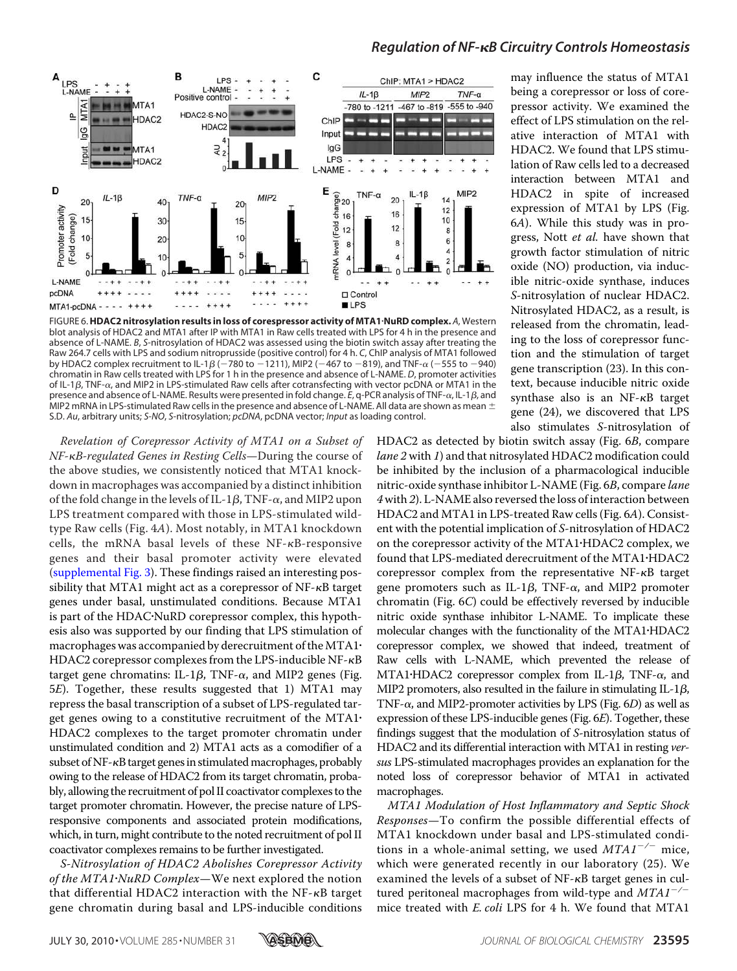

# *Regulation of NF-B Circuitry Controls Homeostasis*

FIGURE 6.**HDAC2 nitrosylation results in loss of corespressor activity of MTA1**-**NuRD complex.** *A*, Western blot analysis of HDAC2 and MTA1 after IP with MTA1 in Raw cells treated with LPS for 4 h in the presence and absence of L-NAME. *B*, *S*-nitrosylation of HDAC2 was assessed using the biotin switch assay after treating the Raw 264.7 cells with LPS and sodium nitroprusside (positive control) for 4 h. *C*, ChIP analysis of MTA1 followed by HDAC2 complex recruitment to IL-1 $\beta$  ( $-780$  to  $-1211$ ), MIP2 ( $-467$  to  $-819$ ), and TNF- $\alpha$  ( $-555$  to  $-940$ ) chromatin in Raw cells treated with LPS for 1 h in the presence and absence of L-NAME. *D*, promoter activities of IL-1 $\beta$ , TNF- $\alpha$ , and MIP2 in LPS-stimulated Raw cells after cotransfecting with vector pcDNA or MTA1 in the presence and absence of L-NAME. Results were presented in fold change. *E*, q-PCR analysis of TNF-α, IL-1β, and MIP2 mRNA in LPS-stimulated Raw cells in the presence and absence of L-NAME. All data are shown as mean  $\pm$ S.D. *Au*, arbitrary units; *S-NO*, *S*-nitrosylation; *pcDNA*, pcDNA vector; *Input* as loading control.

Revelation of Corepressor Activity of MTA1 on a Subset of NF- $\kappa$ B-regulated Genes in Resting Cells—During the course of the above studies, we consistently noticed that MTA1 knockdown in macrophages was accompanied by a distinct inhibition of the fold change in the levels of IL-1 $\beta$ , TNF- $\alpha$ , and MIP2 upon LPS treatment compared with those in LPS-stimulated wildtype Raw cells (Fig. 4A). Most notably, in MTA1 knockdown cells, the mRNA basal levels of these  $NF$ - $\kappa$ B-responsive genes and their basal promoter activity were elevated (supplemental Fig. 3). These findings raised an interesting possibility that MTA1 might act as a corepressor of  $NF - \kappa B$  target genes under basal, unstimulated conditions. Because MTA1 is part of the HDAC-NuRD corepressor complex, this hypothesis also was supported by our finding that LPS stimulation of macrophages was accompanied by derecruitment of the MTA1 $\cdot$ HDAC2 corepressor complexes from the LPS-inducible  $NF - \kappa B$ target gene chromatins: IL-1 $\beta$ , TNF- $\alpha$ , and MIP2 genes (Fig. 5E). Together, these results suggested that 1) MTA1 may repress the basal transcription of a subset of LPS-regulated target genes owing to a constitutive recruitment of the MTA1- HDAC2 complexes to the target promoter chromatin under unstimulated condition and 2) MTA1 acts as a comodifier of a subset of NF-<sub>K</sub>B target genes in stimulated macrophages, probably owing to the release of HDAC2 from its target chromatin, probably, allowing the recruitment of pol II coactivator complexes to the target promoter chromatin. However, the precise nature of LPSresponsive components and associated protein modifications, which, in turn, might contribute to the noted recruitment of pol II coactivator complexes remains to be further investigated.

S-Nitrosylation of HDAC2 Abolishes Corepressor Activity of the MTA1·NuRD Complex-We next explored the notion that differential HDAC2 interaction with the  $NF$ - $\kappa$ B target gene chromatin during basal and LPS-inducible conditions

may influence the status of MTA1 being a corepressor or loss of corepressor activity. We examined the effect of LPS stimulation on the relative interaction of MTA1 with HDAC2. We found that LPS stimulation of Raw cells led to a decreased interaction between MTA1 and HDAC2 in spite of increased expression of MTA1 by LPS (Fig. 6A). While this study was in progress, Nott et al. have shown that growth factor stimulation of nitric oxide (NO) production, via inducible nitric-oxide synthase, induces S-nitrosylation of nuclear HDAC2. Nitrosylated HDAC2, as a result, is released from the chromatin, leading to the loss of corepressor function and the stimulation of target gene transcription (23). In this context, because inducible nitric oxide synthase also is an  $NF-\kappa B$  target gene (24), we discovered that LPS also stimulates S-nitrosylation of

HDAC2 as detected by biotin switch assay (Fig. 6B, compare lane 2 with 1) and that nitrosylated HDAC2 modification could be inhibited by the inclusion of a pharmacological inducible nitric-oxide synthase inhibitor L-NAME (Fig. 6B, compare lane 4 with 2). L-NAME also reversed the loss of interaction between HDAC2 and MTA1 in LPS-treated Raw cells (Fig. 6A). Consistent with the potential implication of S-nitrosylation of HDAC2 on the corepressor activity of the MTA1-HDAC2 complex, we found that LPS-mediated derecruitment of the MTA1-HDAC2 corepressor complex from the representative  $NF-\kappa B$  target gene promoters such as IL-1 $\beta$ , TNF- $\alpha$ , and MIP2 promoter chromatin (Fig. 6C) could be effectively reversed by inducible nitric oxide synthase inhibitor L-NAME. To implicate these molecular changes with the functionality of the MTA1-HDAC2 corepressor complex, we showed that indeed, treatment of Raw cells with L-NAME, which prevented the release of MTA1·HDAC2 corepressor complex from IL-1 $\beta$ , TNF- $\alpha$ , and MIP2 promoters, also resulted in the failure in stimulating IL-1 $\beta$ , TNF- $\alpha$ , and MIP2-promoter activities by LPS (Fig. 6D) as well as expression of these LPS-inducible genes (Fig. 6E). Together, these findings suggest that the modulation of S-nitrosylation status of HDAC2 and its differential interaction with MTA1 in resting versus LPS-stimulated macrophages provides an explanation for the noted loss of corepressor behavior of MTA1 in activated macrophages.

MTA1 Modulation of Host Inflammatory and Septic Shock Responses—To confirm the possible differential effects of MTA1 knockdown under basal and LPS-stimulated conditions in a whole-animal setting, we used  $MTAI^{-/-}$  mice, which were generated recently in our laboratory (25). We examined the levels of a subset of  $NF$ - $\kappa$ B target genes in cultured peritoneal macrophages from wild-type and  $MTAI^{-/-}$ mice treated with E. coli LPS for 4 h. We found that MTA1

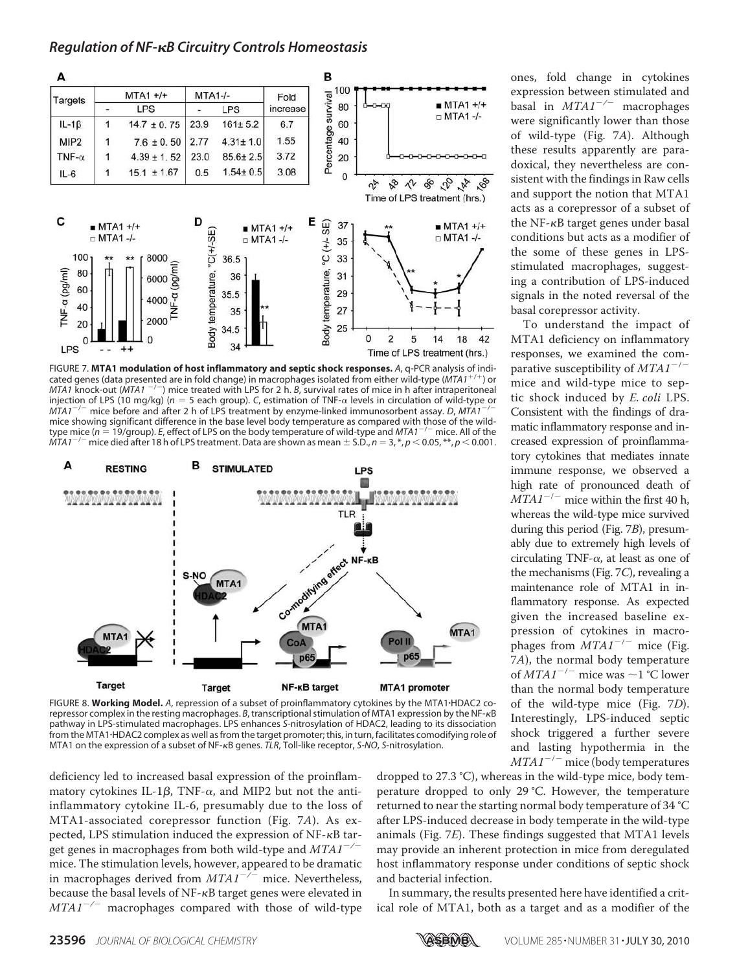

FIGURE 7. **MTA1 modulation of host inflammatory and septic shock responses.** *A*, q-PCR analysis of indicated genes (data presented are in fold change) in macrophages isolated from either wild-type (*MTA1*/ ) or *MTA1* knock-out (*MTA1* / ) mice treated with LPS for 2 h. *B*, survival rates of mice in h after intraperitoneal injection of LPS (10 mg/kg) ( $n = 5$  each group). C, estimation of TNF- $\alpha$  levels in circulation of wild-type or *MTA1*/ mice before and after 2 h of LPS treatment by enzyme-linked immunosorbent assay. *D*, *MTA1*/ mice showing significant difference in the base level body temperature as compared with those of the wildtype mice (*n* = 19/group). *E*, effect of LPS on the body temperature of wild-type and *MTA1<sup>-/-</sup>* mice. All of the *MTA1*/ mice died after 18 h of LPS treatment. Data are shown as mean - S.D., *n* 3, \*, *p* 0.05, \*\*, *p* 0.001.



FIGURE 8. **Working Model.** *A*, repression of a subset of proinflammatory cytokines by the MTA1-HDAC2 corepressor complex in the resting macrophages. *B*, transcriptional stimulation of MTA1 expression by the NF-<sub>K</sub>B pathway in LPS-stimulated macrophages. LPS enhances *S*-nitrosylation of HDAC2, leading to its dissociation from the MTA1-HDAC2 complex as well as from the target promoter; this, in turn, facilitates comodifying role of MTA1 on the expression of a subset of NF-<sub>K</sub>B genes. *TLR*, Toll-like receptor, *S-NO*, *S*-nitrosylation.

deficiency led to increased basal expression of the proinflammatory cytokines IL-1 $\beta$ , TNF- $\alpha$ , and MIP2 but not the antiinflammatory cytokine IL-6, presumably due to the loss of MTA1-associated corepressor function (Fig. 7A). As expected, LPS stimulation induced the expression of NF- $\kappa$ B target genes in macrophages from both wild-type and  $MTAI^{-/-}$ mice. The stimulation levels, however, appeared to be dramatic in macrophages derived from  $MTAI^{-/-}$  mice. Nevertheless, because the basal levels of  $NF$ - $\kappa$ B target genes were elevated in  $MTAI^{-/-}$  macrophages compared with those of wild-type dropped to 27.3 °C), whereas in the wild-type mice, body temperature dropped to only 29 °C. However, the temperature returned to near the starting normal body temperature of 34 °C after LPS-induced decrease in body temperate in the wild-type animals (Fig. 7E). These findings suggested that MTA1 levels may provide an inherent protection in mice from deregulated host inflammatory response under conditions of septic shock and bacterial infection.

In summary, the results presented here have identified a critical role of MTA1, both as a target and as a modifier of the

ones, fold change in cytokines expression between stimulated and basal in  $MTAI^{-/-}$  macrophages were significantly lower than those of wild-type (Fig. 7A). Although these results apparently are paradoxical, they nevertheless are consistent with the findings in Raw cells and support the notion that MTA1 acts as a corepressor of a subset of the NF- $\kappa$ B target genes under basal conditions but acts as a modifier of the some of these genes in LPSstimulated macrophages, suggesting a contribution of LPS-induced signals in the noted reversal of the basal corepressor activity.

To understand the impact of MTA1 deficiency on inflammatory responses, we examined the comparative susceptibility of  $MTAI^{-/-}$ mice and wild-type mice to septic shock induced by E. coli LPS. Consistent with the findings of dramatic inflammatory response and increased expression of proinflammatory cytokines that mediates innate immune response, we observed a high rate of pronounced death of  $MTAI^{-/-}$  mice within the first 40 h, whereas the wild-type mice survived during this period (Fig. 7B), presumably due to extremely high levels of circulating TNF- $\alpha$ , at least as one of the mechanisms (Fig. 7C), revealing a maintenance role of MTA1 in inflammatory response. As expected given the increased baseline expression of cytokines in macrophages from  $MTAI^{-/-}$  mice (Fig. 7A), the normal body temperature of  $MTAI^{-/-}$  mice was  $\sim$  1 °C lower than the normal body temperature of the wild-type mice (Fig. 7D). Interestingly, LPS-induced septic shock triggered a further severe and lasting hypothermia in the  $MTA1^{-/-}$  mice (body temperatures